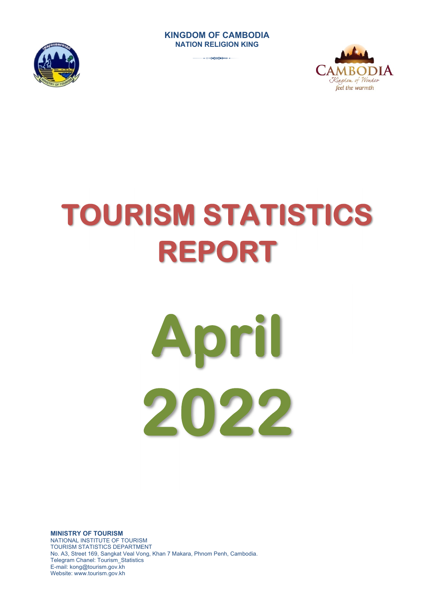#### **KINGDOM OF CAMBODIA NATION RELIGION KING**



3



# **TOURISM STATISTICS REPORT**



**MINISTRY OF TOURISM**  NATIONAL INSTITUTE OF TOURISM TOURISM STATISTICS DEPARTMENT No. A3, Street 169, Sangkat Veal Vong, Khan 7 Makara, Phnom Penh, Cambodia. Telegram Chanel: Tourism\_Statistics E-mail: kong@tourism.gov.kh Website: www.tourism.gov.kh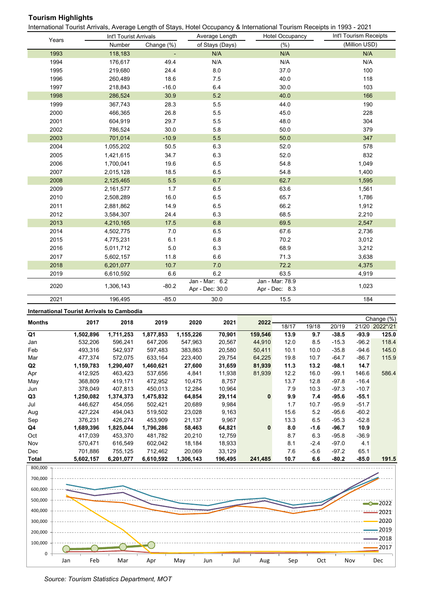# **Tourism Highlights**

International Tourist Arrivals, Average Length of Stays, Hotel Occupancy & International Tourism Receipts in 1993 - 2021

|       | Int'l Tourist Arrivals |            | Average Length                    | <b>Hotel Occupancy</b>            | Int'l Tourism Receipts |
|-------|------------------------|------------|-----------------------------------|-----------------------------------|------------------------|
| Years | Number                 | Change (%) | of Stays (Days)                   | (% )                              | (Million USD)          |
| 1993  | 118,183                |            | N/A                               | N/A                               | N/A                    |
| 1994  | 176,617                | 49.4       | N/A                               | N/A                               | N/A                    |
| 1995  | 219,680                | 24.4       | 8.0                               | 37.0                              | 100                    |
| 1996  | 260,489                | 18.6       | 7.5                               | 40.0                              | 118                    |
| 1997  | 218,843                | $-16.0$    | 6.4                               | 30.0                              | 103                    |
| 1998  | 286,524                | 30.9       | 5.2                               | 40.0                              | 166                    |
| 1999  | 367,743                | 28.3       | 5.5                               | 44.0                              | 190                    |
| 2000  | 466,365                | 26.8       | 5.5                               | 45.0                              | 228                    |
| 2001  | 604,919                | 29.7       | 5.5                               | 48.0                              | 304                    |
| 2002  | 786,524                | 30.0       | 5.8                               | 50.0                              | 379                    |
| 2003  | 701,014                | $-10.9$    | 5.5                               | 50.0                              | 347                    |
| 2004  | 1,055,202              | 50.5       | 6.3                               | 52.0                              | 578                    |
| 2005  | 1,421,615              | 34.7       | 6.3                               | 52.0                              | 832                    |
| 2006  | 1,700,041              | 19.6       | 6.5                               | 54.8                              | 1,049                  |
| 2007  | 2,015,128              | 18.5       | 6.5                               | 54.8                              | 1,400                  |
| 2008  | 2,125,465              | 5.5        | 6.7                               | 62.7                              | 1,595                  |
| 2009  | 2,161,577              | 1.7        | 6.5                               | 63.6                              | 1,561                  |
| 2010  | 2,508,289              | 16.0       | 6.5                               | 65.7                              | 1,786                  |
| 2011  | 2,881,862              | 14.9       | 6.5                               | 66.2                              | 1,912                  |
| 2012  | 3,584,307              | 24.4       | 6.3                               | 68.5                              | 2,210                  |
| 2013  | 4,210,165              | 17.5       | 6.8                               | 69.5                              | 2,547                  |
| 2014  | 4,502,775              | 7.0        | 6.5                               | 67.6                              | 2,736                  |
| 2015  | 4,775,231              | 6.1        | 6.8                               | 70.2                              | 3,012                  |
| 2016  | 5,011,712              | $5.0$      | 6.3                               | 68.9                              | 3,212                  |
| 2017  | 5,602,157              | 11.8       | 6.6                               | 71.3                              | 3,638                  |
| 2018  | 6,201,077              | 10.7       | $7.0$                             | 72.2                              | 4,375                  |
| 2019  | 6,610,592              | 6.6        | 6.2                               | 63.5                              | 4,919                  |
| 2020  | 1,306,143              | $-80.2$    | Jan - Mar: 6.2<br>Apr - Dec: 30.0 | Jan - Mar: 78.9<br>Apr - Dec: 8.3 | 1,023                  |
| 2021  | 196,495                | $-85.0$    | 30.0                              | 15.5                              | 184                    |

**International Tourist Arrivals to Cambodia**

|                |             |           |           |                |             |                |       |        |         |                  | Change (%)              |
|----------------|-------------|-----------|-----------|----------------|-------------|----------------|-------|--------|---------|------------------|-------------------------|
| <b>Months</b>  | 2017        | 2018      | 2019      | 2020           | 2021        | 2022           | 18/17 | 19/18  | 20/19   | 21/20            | 2022*/21                |
| Q1             | 1,502,896   | 1,711,253 | 1,877,853 | 1,155,226      | 70,901      | 159,546        | 13.9  | 9.7    | $-38.5$ | $-93.9$          | 125.0                   |
| Jan            | 532,206     | 596,241   | 647,206   | 547,963        | 20,567      | 44,910         | 12.0  | 8.5    | $-15.3$ | $-96.2$          | 118.4                   |
| Feb            | 493,316     | 542,937   | 597,483   | 383,863        | 20,580      | 50,411         | 10.1  | 10.0   | $-35.8$ | $-94.6$          | 145.0                   |
| Mar            | 477,374     | 572,075   | 633,164   | 223,400        | 29,754      | 64,225         | 19.8  | 10.7   | $-64.7$ | $-86.7$          | 115.9                   |
| Q2             | 1,159,783   | 1,290,407 | 1,460,621 | 27,600         | 31,659      | 81,939         | 11.3  | 13.2   | -98.1   | 14.7             |                         |
| Apr            | 412,925     | 463,423   | 537,656   | 4,841          | 11,938      | 81,939         | 12.2  | 16.0   | $-99.1$ | 146.6            | 586.4                   |
| May            | 368,809     | 419,171   | 472,952   | 10,475         | 8,757       |                | 13.7  | 12.8   | $-97.8$ | $-16.4$          |                         |
| Jun            | 378,049     | 407,813   | 450,013   | 12,284         | 10,964      |                | 7.9   | 10.3   | $-97.3$ | $-10.7$          |                         |
| Q3             | 1,250,082   | 1,374,373 | 1,475,832 | 64,854         | 29,114      | $\bf{0}$       | 9.9   | 7.4    | -95.6   | $-55.1$          |                         |
| Jul            | 446,627     | 454,056   | 502,421   | 20,689         | 9,984       |                | 1.7   | 10.7   | $-95.9$ | $-51.7$          |                         |
| Aug            | 427,224     | 494,043   | 519,502   | 23,028         | 9,163       |                | 15.6  | 5.2    | $-95.6$ | $-60.2$          |                         |
| Sep            | 376,231     | 426,274   | 453,909   | 21,137         | 9,967       |                | 13.3  | 6.5    | $-95.3$ | $-52.8$          |                         |
| Q4             | 1,689,396   | 1,825,044 | 1,796,286 | 58,463         | 64,821      | $\bf{0}$       | 8.0   | $-1.6$ | -96.7   | 10.9             |                         |
| Oct            | 417,039     | 453,370   | 481,782   | 20,210         | 12,759      |                | 8.7   | 6.3    | $-95.8$ | $-36.9$          |                         |
| Nov            | 570,471     | 616,549   | 602,042   | 18,184         | 18,933      |                | 8.1   | $-2.4$ | $-97.0$ | 4.1              |                         |
| Dec            | 701,886     | 755,125   | 712,462   | 20,069         | 33,129      |                | 7.6   | $-5.6$ | $-97.2$ | 65.1             |                         |
| T <sub>1</sub> | E CAO 4 E 7 | C 004 077 | C CAN ENN | <b>200.442</b> | $AOC$ $AOC$ | <b>244 40E</b> | 407   | c c    | 000     | 0.5 <sub>n</sub> | $A \cap A$ <sub>E</sub> |

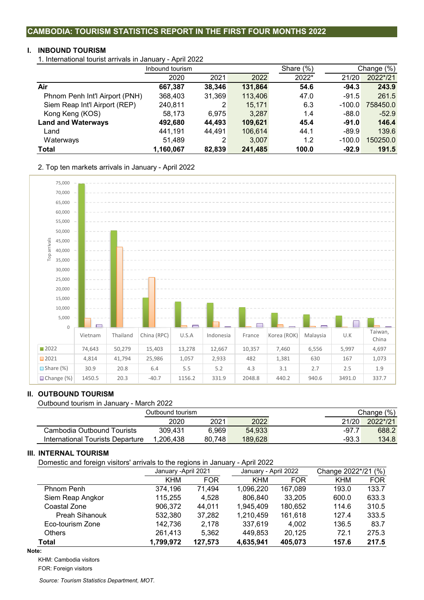#### **CAMBODIA: TOURISM STATISTICS REPORT IN THE FIRST FOUR MONTHS 2022**

#### **I. INBOUND TOURISM**

1. International tourist arrivals in January - April 2022

|                                | Inbound tourism |        |         | Share $(\%)$ | Change (%) |          |
|--------------------------------|-----------------|--------|---------|--------------|------------|----------|
|                                | 2020            | 2021   | 2022    | 2022*        | 21/20      | 2022*/21 |
| Air                            | 667,387         | 38,346 | 131,864 | 54.6         | $-94.3$    | 243.9    |
| Phnom Penh Int'l Airport (PNH) | 368,403         | 31,369 | 113,406 | 47.0         | $-91.5$    | 261.5    |
| Siem Reap Int'l Airport (REP)  | 240,811         | 2      | 15,171  | 6.3          | $-100.0$   | 758450.0 |
| Kong Keng (KOS)                | 58,173          | 6.975  | 3,287   | 1.4          | $-88.0$    | $-52.9$  |
| <b>Land and Waterways</b>      | 492,680         | 44.493 | 109,621 | 45.4         | $-91.0$    | 146.4    |
| Land                           | 441,191         | 44,491 | 106,614 | 44.1         | $-89.9$    | 139.6    |
| Waterways                      | 51,489          | 2      | 3,007   | 1.2          | $-100.0$   | 150250.0 |
| Total                          | 1,160,067       | 82,839 | 241,485 | 100.0        | $-92.9$    | 191.5    |

2. Top ten markets arrivals in January - April 2022



#### **II. OUTBOUND TOURISM**

Outbound tourism in January - March 2022

|                                  | Outbound tourism |        |         |         | Change (%) |
|----------------------------------|------------------|--------|---------|---------|------------|
|                                  | 2020             | 2021   | 2022    | 21/20   | 2022*/21   |
| Cambodia Outbound Tourists       | 309.431          | 6.969  | 54.933  | $-97.7$ | 688.2      |
| International Tourists Departure | 1.206.438        | 80.748 | 189.628 | $-93.3$ | 134.8      |

#### **III. INTERNAL TOURISM**

Domestic and foreign visitors' arrivals to the regions in January - April 2022

|                       | January - April 2021 |            | January - April 2022 |            | Change 2022*/21 (%) |            |  |
|-----------------------|----------------------|------------|----------------------|------------|---------------------|------------|--|
|                       | <b>KHM</b>           | <b>FOR</b> | <b>KHM</b>           | <b>FOR</b> | KHM                 | <b>FOR</b> |  |
| Phnom Penh            | 374,196              | 71,494     | 1.096.220            | 167,089    | 193.0               | 133.7      |  |
| Siem Reap Angkor      | 115,255              | 4.528      | 806.840              | 33,205     | 600.0               | 633.3      |  |
| Coastal Zone          | 906.372              | 44.011     | 1,945,409            | 180.652    | 114.6               | 310.5      |  |
| <b>Preah Sihanouk</b> | 532,380              | 37,282     | 1,210,459            | 161,618    | 127.4               | 333.5      |  |
| Eco-tourism Zone      | 142.736              | 2.178      | 337.619              | 4.002      | 136.5               | 83.7       |  |
| <b>Others</b>         | 261,413              | 5,362      | 449.853              | 20.125     | 72.1                | 275.3      |  |
| Total                 | 1,799,972            | 127,573    | 4,635,941            | 405,073    | 157.6               | 217.5      |  |

#### **Note:**

KHM: Cambodia visitors

FOR: Foreign visitors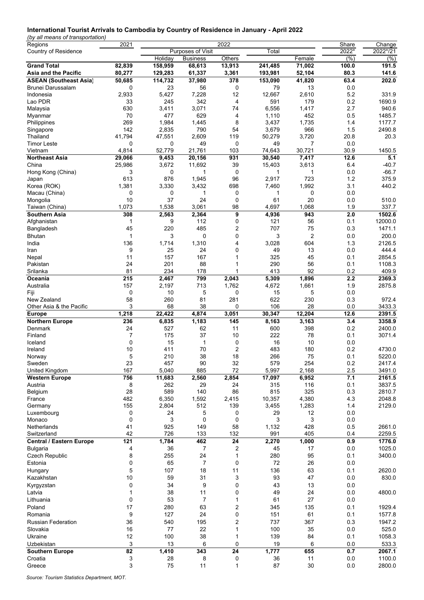#### **International Tourist Arrivals to Cambodia by Country of Residence in January - April 2022**

*(by all means of transportation)*

| Regions                         | 2021            |         |                   | 2022         |              |                | Share           | Change   |
|---------------------------------|-----------------|---------|-------------------|--------------|--------------|----------------|-----------------|----------|
| Country of Residence            |                 |         | Purposes of Visit |              | Total        |                | 2022*           | 2022*/21 |
|                                 |                 | Holiday | <b>Business</b>   | Others       |              | Female         | (% )            | (%)      |
| <b>Grand Total</b>              | 82,839          | 158,959 | 68,613            | 13,913       | 241,485      | 71,002         | 100.0           | 191.5    |
| Asia and the Pacific            | 80,277          | 129,283 | 61,337            | 3,361        | 193,981      | 52,104         | 80.3            | 141.6    |
| <b>ASEAN (Southeast Asia)</b>   | 50,685          | 114,732 | 37,980            | 378          | 153,090      | 41,820         | 63.4            | 202.0    |
| Brunei Darussalam               | 0               | 23      | 56                | 0            | 79           | 13             | 0.0             |          |
| Indonesia                       | 2,933           | 5,427   | 7,228             | 12           | 12,667       | 2,610          | 5.2             | 331.9    |
| Lao PDR                         | 33              | 245     | 342               | 4            | 591          | 179            | 0.2             | 1690.9   |
| Malaysia                        | 630             | 3,411   | 3,071             | 74           | 6,556        | 1,417          | 2.7             | 940.6    |
| Myanmar                         | 70              | 477     | 629               | 4            | 1,110        | 452            | 0.5             | 1485.7   |
| Philippines                     | 269             | 1,984   | 1,445             | 8            | 3,437        | 1,735          | 1.4             | 1177.7   |
| Singapore                       | 142             | 2,835   | 790               | 54           | 3,679        | 966            | 1.5             | 2490.8   |
| Thailand                        | 41,794          | 47,551  | 2,609             | 119          | 50,279       | 3,720          | 20.8            | 20.3     |
| <b>Timor Leste</b>              | 0               | 0       | 49                | 0            | 49           | 7              | 0.0             |          |
| Vietnam                         | 4,814           | 52,779  | 21,761            | 103          | 74,643       | 30,721         | 30.9            | 1450.5   |
| <b>Northeast Asia</b>           | 29,066          | 9,453   | 20,156            | 931          | 30,540       | 7,417          | 12.6            | 5.1      |
| China                           | 25,986          | 3,672   | 11,692            | 39           | 15,403       | 3,613          | 6.4             | $-40.7$  |
| Hong Kong (China)               | 3               | 0       | $\mathbf{1}$      | 0            | $\mathbf{1}$ | 1              | 0.0             | $-66.7$  |
| Japan                           | 613             | 876     | 1,945             | 96           | 2,917        | 723            | 1.2             | 375.9    |
| Korea (ROK)                     | 1,381           | 3,330   | 3,432             | 698          | 7,460        | 1,992          | 3.1             | 440.2    |
| Macau (China)                   | 0               | 0       | 1                 | 0            | 1            | 0              | 0.0             |          |
| Mongolia                        | 10              | 37      | 24                | 0            | 61           | 20             | 0.0             | 510.0    |
| Taiwan (China)                  | 1,073           | 1,538   | 3,061             | 98           | 4,697        | 1,068          | 1.9             | 337.7    |
| Southern Asia                   | 308             | 2,563   | 2,364             | 9            | 4,936        | 943            | 2.0             | 1502.6   |
| Afghanistan                     | 1               | 9       | 112               | 0            | 121          | 56             | 0.1             | 12000.0  |
| Bangladesh                      | 45              | 220     | 485               | 2            | 707          | 75             | 0.3             | 1471.1   |
|                                 | 1               | 3       | 0                 | 0            | 3            | $\overline{2}$ |                 | 200.0    |
| Bhutan                          |                 |         |                   |              |              |                | 0.0             |          |
| India                           | 136             | 1,714   | 1,310             | 4            | 3,028        | 604            | 1.3             | 2126.5   |
| Iran                            | 9               | 25      | 24                | 0            | 49           | 13             | 0.0             | 444.4    |
| Nepal                           | 11              | 157     | 167               | 1            | 325          | 45             | 0.1             | 2854.5   |
| Pakistan                        | 24              | 201     | 88                | 1            | 290          | 56             | 0.1             | 1108.3   |
| Srilanka                        | 81              | 234     | 178               | 1            | 413          | 92             | 0.2             | 409.9    |
| Oceania                         | 215             | 2,467   | 799               | 2,043        | 5,309        | 1,896          | 2.2             | 2369.3   |
| Australia                       | 157             | 2,197   | 713               | 1,762        | 4,672        | 1,661          | 1.9             | 2875.8   |
| Fiji                            | 0               | 10      | 5                 | 0            | 15           | 5              | 0.0             |          |
| New Zealand                     | 58              | 260     | 81                | 281          | 622          | 230            | 0.3             | 972.4    |
| Other Asia & the Pacific        | 3               | 68      | 38                | 0            | 106          | 28             | 0.0             | 3433.3   |
| <b>Europe</b>                   | 1,218           | 22,422  | 4,874             | 3,051        | 30,347       | 12,204         | $\frac{1}{2.6}$ | 2391.5   |
| <b>Northern Europe</b>          | 236             | 6,835   | 1,183             | 145          | 8,163        | 3,163          | 3.4             | 3358.9   |
| Denmark                         | 24              | 527     | 62                | 11           | 600          | 398            | 0.2             | 2400.0   |
| Finland                         | 7               | 175     | 37                | 10           | 222          | 78             | 0.1             | 3071.4   |
| Iceland                         | 0               | 15      | $\mathbf{1}$      | 0            | 16           | 10             | 0.0             |          |
| Ireland                         | 10              | 411     | 70                | 2            | 483          | 180            | 0.2             | 4730.0   |
| Norway                          | 5               | 210     | 38                | 18           | 266          | 75             | 0.1             | 5220.0   |
| Sweden                          | 23              | 457     | 90                | 32           | 579          | 254            | 0.2             | 2417.4   |
| United Kingdom                  | 167             | 5,040   | 885               | 72           | 5,997        | 2,168          | 2.5             | 3491.0   |
| <b>Western Europe</b>           | 756             | 11,683  | 2,560             | 2,854        | 17,097       | 6,952          | 7.1             | 2161.5   |
| Austria                         | 8               | 262     | 29                | 24           | 315          | 116            | 0.1             | 3837.5   |
| Belgium                         | 28              | 589     | 140               | 86           | 815          | 325            | 0.3             | 2810.7   |
| France                          | 482             | 6,350   | 1,592             | 2,415        | 10,357       | 4,380          | 4.3             | 2048.8   |
| Germany                         | 155             | 2,804   | 512               | 139          | 3,455        | 1,283          | 1.4             | 2129.0   |
| Luxembourg                      | 0               | 24      | 5                 | 0            | 29           | 12             | 0.0             |          |
| Monaco                          | 0               | 3       | 0                 | 0            | 3            | 3              | 0.0             |          |
| <b>Netherlands</b>              | 41              | 925     | 149               | 58           | 1,132        | 428            | 0.5             | 2661.0   |
| Switzerland                     | 42              | 726     | 133               | 132          | 991          | 405            | 0.4             | 2259.5   |
| <b>Central / Eastern Europe</b> | 121             | 1,784   | 462               | 24           | 2,270        | 1,000          | 0.9             | 1776.0   |
| <b>Bulgaria</b>                 | 4               | 36      | 7                 | 2            | 45           | 17             | 0.0             | 1025.0   |
| Czech Republic                  | 8               | 255     | 24                | 1            | 280          | 95             | 0.1             | 3400.0   |
| Estonia                         | 0               | 65      | $\overline{7}$    | 0            | 72           | 26             | 0.0             |          |
| Hungary                         | 5               | 107     | 18                | 11           | 136          | 63             | 0.1             | 2620.0   |
| Kazakhstan                      | 10              | 59      | 31                | 3            | 93           | 47             | 0.0             | 830.0    |
| Kyrgyzstan                      | 0               | 34      | 9                 | 0            | 43           | 13             | 0.0             |          |
| Latvia                          | 1               | 38      | 11                | 0            | 49           | 24             | 0.0             | 4800.0   |
| Lithuania                       | 0               | 53      | 7                 | 1            | 61           | 27             |                 |          |
|                                 |                 |         |                   |              |              |                | 0.0             |          |
| Poland                          | 17              | 280     | 63                | 2            | 345          | 135            | 0.1             | 1929.4   |
| Romania                         | 9               | 127     | 24                | 0            | 151          | 61             | 0.1             | 1577.8   |
| <b>Russian Federation</b>       | 36              | 540     | 195               | 2            | 737          | 367            | 0.3             | 1947.2   |
| Slovakia                        | 16              | 77      | 22                | 1            | 100          | 35             | 0.0             | 525.0    |
| Ukraine                         | 12              | 100     | 38                | 1            | 139          | 84             | 0.1             | 1058.3   |
| Uzbekistan                      | 3               | 13      | 6                 | 0            | 19           | 6              | 0.0             | 533.3    |
| <b>Southern Europe</b>          | $\overline{82}$ | 1,410   | 343               | 24           | 1,777        | 655            | 0.7             | 2067.1   |
| Croatia                         | 3               | 28      | 8                 | 0            | 36           | 11             | 0.0             | 1100.0   |
| Greece                          | 3               | 75      | 11                | $\mathbf{1}$ | 87           | 30             | 0.0             | 2800.0   |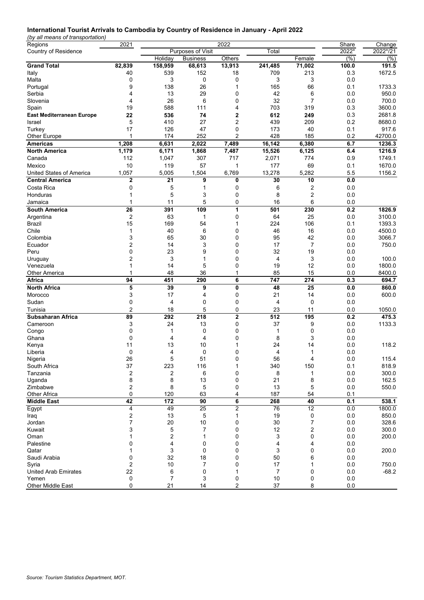#### **International Tourist Arrivals to Cambodia by Country of Residence in January - April 2022**

*(by all means of transportation)*

| Regions                          | 2021           |         |                   | Share  | Change         |                         |         |          |
|----------------------------------|----------------|---------|-------------------|--------|----------------|-------------------------|---------|----------|
| <b>Country of Residence</b>      |                |         | Purposes of Visit |        | Total          |                         | 2022*   | 2022*/21 |
|                                  |                | Holiday | <b>Business</b>   | Others |                | Female                  | $(\% )$ | (%)      |
| <b>Grand Total</b>               | 82,839         | 158,959 | 68,613            | 13,913 | 241,485        | 71,002                  | 100.0   | 191.5    |
| Italy                            | 40             | 539     | 152               | 18     | 709            | 213                     | 0.3     | 1672.5   |
| Malta                            | 0              | 3       | 0                 | 0      | 3              | 3                       | 0.0     |          |
| Portugal                         | 9              | 138     | 26                | 1      | 165            | 66                      | 0.1     | 1733.3   |
| Serbia                           | 4              | 13      | 29                | 0      | 42             | 6                       | 0.0     | 950.0    |
| Slovenia                         | 4              | 26      | 6                 | 0      | 32             | $\overline{7}$          | 0.0     | 700.0    |
| Spain                            | 19             | 588     | 111               | 4      | 703            | 319                     | 0.3     | 3600.0   |
| <b>East Mediterranean Europe</b> | 22             | 536     | 74                | 2      | 612            | 249                     | 0.3     | 2681.8   |
| Israel                           | 5              | 410     | 27                | 2      | 439            | 209                     | 0.2     | 8680.0   |
| Turkey                           | 17             | 126     | 47                | 0      | 173            | 40                      | 0.1     | 917.6    |
| Other Europe                     | 1              | 174     | 252               | 2      | 428            | 185                     | 0.2     | 42700.0  |
| <b>Americas</b>                  | 1,208          | 6,631   | 2,022             | 7,489  | 16,142         | 6,380                   | 6.7     | 1236.3   |
| <b>North America</b>             | 1,179          | 6,171   | 1,868             | 7,487  | 15,526         | 6,125                   | 6.4     | 1216.9   |
| Canada                           | 112            | 1,047   | 307               | 717    | 2,071          | 774                     | 0.9     | 1749.1   |
| Mexico                           | 10             | 119     | 57                | 1      | 177            | 69                      | 0.1     | 1670.0   |
| United States of America         | 1,057          | 5,005   | 1,504             | 6,769  | 13,278         | 5,282                   | 5.5     | 1156.2   |
| <b>Central America</b>           | 2              | 21      | 9                 | 0      | 30             | 10                      | 0.0     |          |
| Costa Rica                       | 0              | 5       | 1                 | 0      | 6              | $\overline{\mathbf{c}}$ | 0.0     |          |
| Honduras                         | 1              | 5       | 3                 | 0      | 8              | $\overline{\mathbf{c}}$ | 0.0     |          |
| Jamaica                          |                | 11      | 5                 | 0      | 16             | 6                       | 0.0     |          |
| <b>South America</b>             | 26             | 391     | 109               | 1      | 501            | 230                     | 0.2     | 1826.9   |
| Argentina                        | 2              | 63      | 1                 | 0      | 64             | 25                      | 0.0     | 3100.0   |
| <b>Brazil</b>                    | 15             | 169     | 54                | 1      | 224            | 106                     | 0.1     | 1393.3   |
| Chile                            | 1              | 40      | 6                 | 0      | 46             | 16                      | 0.0     | 4500.0   |
| Colombia                         | 3              | 65      | 30                | 0      | 95             | 42                      | 0.0     | 3066.7   |
| Ecuador                          | 2              | 14      | 3                 | 0      | 17             | 7                       | 0.0     | 750.0    |
| Peru                             | 0              | 23      | 9                 | 0      | 32             | 19                      | 0.0     |          |
| Uruguay                          | $\overline{2}$ | 3       | 1                 | 0      | 4              | 3                       | 0.0     | 100.0    |
| Venezuela                        | 1              | 14      | 5                 | 0      | 19             | 12                      | 0.0     | 1800.0   |
| <b>Other America</b>             | 1              | 48      | 36                | 1      | 85             | 15                      | 0.0     | 8400.0   |
| Africa                           | 94             | 451     | 290               | 6      | 747            | 274                     | 0.3     | 694.7    |
| <b>North Africa</b>              | 5              | 39      | 9                 | 0      | 48             | 25                      | 0.0     | 860.0    |
| Morocco                          | 3              | 17      | 4                 | 0      | 21             | 14                      | 0.0     | 600.0    |
| Sudan                            | 0              | 4       | 0                 | 0      | 4              | 0                       | 0.0     |          |
| Tunisia                          | $\overline{c}$ | 18      | 5                 | 0      | 23             | 11                      | 0.0     | 1050.0   |
|                                  |                |         |                   |        |                |                         |         |          |
| Subsaharan Africa                | 89             | 292     | 218               | 2      | 512            | 195                     | 0.2     | 475.3    |
| Cameroon                         | 3              | 24      | 13                | 0      | 37             | 9                       | 0.0     | 1133.3   |
| Congo                            | 0              | 1       | $\mathbf 0$       | 0      | 1              | 0                       | 0.0     |          |
| Ghana                            | 0              | 4       | 4                 | 0      | 8              | 3                       | 0.0     |          |
| Kenya                            | 11             | 13      | 10                | 1      | 24             | 14                      | 0.0     | 118.2    |
| Liberia                          | 0              | 4<br>г. | $\mathbf 0$       | 0      | 4              | $\mathbf{1}$            | 0.0     |          |
| Nigeria                          | 26             |         | 51                | 0      | 56             | 4                       | 0.0     | 115.4    |
| South Africa                     | 37             | 223     | 116               | 1      | 340            | 150                     | 0.1     | 818.9    |
| Tanzania                         | 2              | 2       | 6                 | 0      | 8              | 1                       | 0.0     | 300.0    |
| Uganda                           | 8              | 8       | 13                | 0      | 21             | 8                       | 0.0     | 162.5    |
| Zimbabwe                         | 2<br>0         | 8       | 5                 | 0      | 13             | $\,$ 5 $\,$             | 0.0     | 550.0    |
| Other Africa                     |                | 120     | 63                | 4      | 187            | 54                      | 0.1     |          |
| <b>Middle East</b>               | 42             | 172     | 90                | 6      | 268            | 40                      | 0.1     | 538.1    |
| Egypt                            | 4              | 49      | 25                | 2      | 76             | 12                      | 0.0     | 1800.0   |
| Iraq                             | 2              | 13      | 5                 | 1      | 19             | 0                       | 0.0     | 850.0    |
| Jordan                           | $\overline{7}$ | 20      | 10                | 0      | 30             | 7                       | 0.0     | 328.6    |
| Kuwait                           | 3              | 5       | 7                 | 0      | 12             | $\overline{c}$          | 0.0     | 300.0    |
| Oman                             | 1              | 2       | 1                 | 0      | 3              | 0                       | 0.0     | 200.0    |
| Palestine                        | 0              | 4       | 0                 | 0      | 4              | 4                       | 0.0     |          |
| Qatar                            |                | 3       | 0                 | 0      | 3              | 0                       | 0.0     | 200.0    |
| Saudi Arabia                     | 0              | 32      | 18                | 0      | 50             | 6                       | 0.0     |          |
| Syria                            | 2              | 10      | 7                 | 0      | 17             | 1                       | 0.0     | 750.0    |
| <b>United Arab Emirates</b>      | 22             | 6       | 0                 |        | $\overline{7}$ | 0                       | 0.0     | $-68.2$  |
| Yemen                            | 0<br>0         | 7       | 3                 | 0      | 10             | 0<br>8                  | 0.0     |          |
| Other Middle East                |                | 21      | 14                | 2      | 37             |                         | 0.0     |          |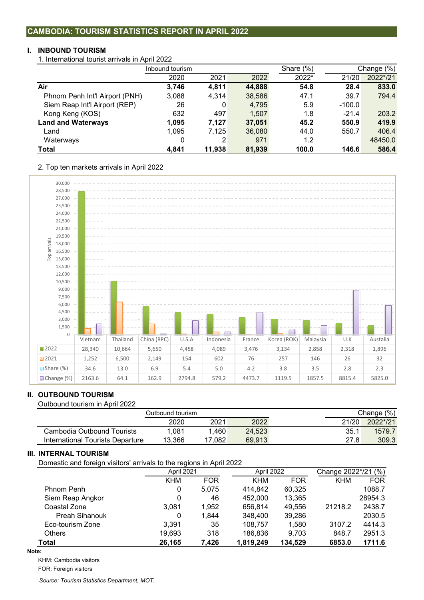#### **I. INBOUND TOURISM**

1. International tourist arrivals in April 2022

|                                | Inbound tourism |        |        | Share $(\%)$ |          | Change (%) |
|--------------------------------|-----------------|--------|--------|--------------|----------|------------|
|                                | 2020            | 2021   | 2022   | 2022*        | 21/20    | 2022*/21   |
| Air                            | 3,746           | 4,811  | 44,888 | 54.8         | 28.4     | 833.0      |
| Phnom Penh Int'l Airport (PNH) | 3,088           | 4,314  | 38,586 | 47.1         | 39.7     | 794.4      |
| Siem Reap Int'l Airport (REP)  | 26              | 0      | 4,795  | 5.9          | $-100.0$ |            |
| Kong Keng (KOS)                | 632             | 497    | 1,507  | 1.8          | $-21.4$  | 203.2      |
| <b>Land and Waterways</b>      | 1,095           | 7,127  | 37,051 | 45.2         | 550.9    | 419.9      |
| Land                           | 1,095           | 7,125  | 36,080 | 44.0         | 550.7    | 406.4      |
| Waterways                      | 0               | 2      | 971    | 1.2          |          | 48450.0    |
| Total                          | 4.841           | 11.938 | 81,939 | 100.0        | 146.6    | 586.4      |

2. Top ten markets arrivals in April 2022



## **II. OUTBOUND TOURISM**

Outbound tourism in April 2022

|                                  |        | Change (%) |        |       |          |
|----------------------------------|--------|------------|--------|-------|----------|
|                                  | 2020   | 2021       | 2022   | 21/20 | 2022*/21 |
| Cambodia Outbound Tourists       | 1.081  | .460       | 24.523 | 35.1  | 1579.7   |
| International Tourists Departure | 13,366 | 17.082     | 69.913 | 27.8  | 309.3    |

## **III. INTERNAL TOURISM**

Domestic and foreign visitors' arrivals to the regions in April 2022

| ັ                     | ັ          |            |            |            |                     |            |  |
|-----------------------|------------|------------|------------|------------|---------------------|------------|--|
|                       | April 2021 |            | April 2022 |            | Change 2022*/21 (%) |            |  |
|                       | <b>KHM</b> | <b>FOR</b> | <b>KHM</b> | <b>FOR</b> | <b>KHM</b>          | <b>FOR</b> |  |
| Phnom Penh            | 0          | 5.075      | 414.842    | 60.325     |                     | 1088.7     |  |
| Siem Reap Angkor      | 0          | 46         | 452,000    | 13,365     |                     | 28954.3    |  |
| Coastal Zone          | 3.081      | 1.952      | 656.814    | 49,556     | 21218.2             | 2438.7     |  |
| <b>Preah Sihanouk</b> | 0          | 1.844      | 348,400    | 39,286     |                     | 2030.5     |  |
| Eco-tourism Zone      | 3.391      | 35         | 108,757    | 1,580      | 3107.2              | 4414.3     |  |
| <b>Others</b>         | 19,693     | 318        | 186,836    | 9.703      | 848.7               | 2951.3     |  |
| <b>Total</b>          | 26,165     | 7,426      | 1,819,249  | 134,529    | 6853.0              | 1711.6     |  |

#### **Note:**

KHM: Cambodia visitors

FOR: Foreign visitors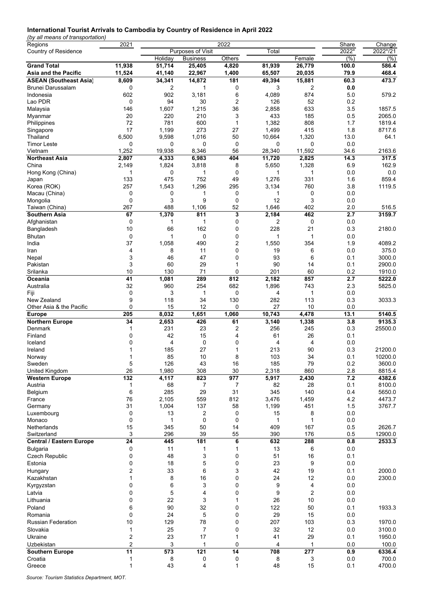#### **International Tourist Arrivals to Cambodia by Country of Residence in April 2022**

*(by all means of transportation)*

| Regions                         | 2021           |         |                   | 2022         |              |                | Share | Change             |
|---------------------------------|----------------|---------|-------------------|--------------|--------------|----------------|-------|--------------------|
| Country of Residence            |                |         | Purposes of Visit |              | Total        |                | 2022* | 2022*/21           |
|                                 |                | Holiday | <b>Business</b>   | Others       |              | Female         | (% )  | (% )               |
| <b>Grand Total</b>              | 11,938         | 51,714  | 25,405            | 4,820        | 81,939       | 26,779         | 100.0 | 586.4              |
| Asia and the Pacific            | 11,524         | 41,140  | 22,967            | 1,400        | 65,507       | 20,035         | 79.9  | 468.4              |
| <b>ASEAN (Southeast Asia)</b>   | 8,609          | 34,341  | 14,872            | 181          | 49,394       | 15,881         | 60.3  | 473.7              |
| <b>Brunei Darussalam</b>        | 0              |         |                   |              | 3            | 2              | 0.0   |                    |
|                                 |                | 2       | 1                 | 0            |              |                |       |                    |
| Indonesia                       | 602            | 902     | 3,181             | 6            | 4,089        | 874            | 5.0   | 579.2              |
| Lao PDR                         | 0              | 94      | 30                | 2            | 126          | 52             | 0.2   |                    |
| Malaysia                        | 146            | 1,607   | 1,215             | 36           | 2,858        | 633            | 3.5   | 1857.5             |
| Myanmar                         | 20             | 220     | 210               | 3            | 433          | 185            | 0.5   | 2065.0             |
| Philippines                     | 72             | 781     | 600               | $\mathbf{1}$ | 1,382        | 808            | 1.7   | 1819.4             |
| Singapore                       | 17             | 1,199   | 273               | 27           | 1,499        | 415            | 1.8   | 8717.6             |
| Thailand                        | 6,500          | 9,598   | 1,016             | 50           | 10,664       | 1,320          | 13.0  | 64.1               |
| <b>Timor Leste</b>              | 0              | 0       | 0                 | 0            | 0            | 0              | 0.0   |                    |
| Vietnam                         | 1,252          | 19,938  | 8,346             | 56           | 28,340       | 11,592         | 34.6  | 2163.6             |
| <b>Northeast Asia</b>           | 2,807          | 4,333   | 6,983             | 404          | 11,720       | 2,825          | 14.3  | 317.5              |
| China                           | 2,149          | 1,824   | 3,818             | 8            | 5,650        | 1,328          | 6.9   | 162.9              |
|                                 |                |         |                   |              | 1            |                | 0.0   | 0.0                |
| Hong Kong (China)               | 1              | 0       | 1                 | 0            |              | 1              |       |                    |
| Japan                           | 133            | 475     | 752               | 49           | 1,276        | 331            | 1.6   | 859.4              |
| Korea (ROK)                     | 257            | 1,543   | 1,296             | 295          | 3,134        | 760            | 3.8   | 1119.5             |
| Macau (China)                   | 0              | 0       | 1                 | 0            | 1            | 0              | 0.0   |                    |
| Mongolia                        | 0              | 3       | 9                 | 0            | 12           | 3              | 0.0   |                    |
| Taiwan (China)                  | 267            | 488     | 1,106             | 52           | 1,646        | 402            | 2.0   | 516.5              |
| <b>Southern Asia</b>            | 67             | 1,370   | 811               | 3            | 2,184        | 462            | 2.7   | 3159.7             |
| Afghanistan                     | 0              | 1       | 1                 | 0            | 2            | 0              | 0.0   |                    |
| Bangladesh                      | 10             | 66      | 162               | 0            | 228          | 21             | 0.3   | 2180.0             |
| <b>Bhutan</b>                   | 0              | 1       | 0                 | 0            | 1            | 1              | 0.0   |                    |
| India                           | 37             | 1,058   | 490               | 2            | 1,550        | 354            | 1.9   | 4089.2             |
|                                 |                |         |                   |              |              |                |       |                    |
| Iran                            | 4              | 8       | 11                | 0            | 19           | 6              | 0.0   | 375.0              |
| Nepal                           | 3              | 46      | 47                | 0            | 93           | 6              | 0.1   | 3000.0             |
| Pakistan                        | 3              | 60      | 29                | 1            | 90           | 14             | 0.1   | 2900.0             |
| Srilanka                        | 10             | 130     | 71                | 0            | 201          | 60             | 0.2   | 1910.0             |
| Oceania                         | 41             | 1,081   | 289               | 812          | 2,182        | 857            | 2.7   | 5222.0             |
| Australia                       | 32             | 960     | 254               | 682          | 1,896        | 743            | 2.3   | 5825.0             |
| Fiji                            | 0              | 3       | 1                 | 0            | 4            | 1              | 0.0   |                    |
| New Zealand                     | 9              | 118     | 34                | 130          | 282          | 113            | 0.3   | 3033.3             |
| Other Asia & the Pacific        | 0              | 15      | 12                | 0            | 27           | 10             | 0.0   |                    |
| <b>Europe</b>                   | 205            | 8,032   | 1,651             | 1,060        | 10,743       | 4,478          | 13.1  | $\frac{1}{5140.5}$ |
| <b>Northern Europe</b>          | 34             | 2,653   | 426               | 61           | 3,140        | 1,338          | 3.8   | 9135.3             |
|                                 |                |         |                   |              |              |                |       |                    |
| Denmark                         | 1              | 231     | 23                | 2            | 256          | 245            | 0.3   | 25500.0            |
| Finland                         | 0              | 42      | 15                | 4            | 61           | 26             | 0.1   |                    |
| Iceland                         | 0              | 4       | 0                 | 0            | 4            | $\overline{4}$ | 0.0   |                    |
| Ireland                         |                | 185     | 27                | 1            | 213          | 90             | 0.3   | 21200.0            |
| Norway                          | 1              | 85      | 10                | 8            | 103          | 34             | 0.1   | 10200.0            |
| Sweden                          | 5              | 126     | 43                | 16           | 185          | 79             | 0.2   | 3600.0             |
| United Kingdom                  | 26             | 1,980   | 308               | 30           | 2,318        | 860            | 2.8   | 8815.4             |
| <b>Western Europe</b>           | 132            | 4,117   | 823               | 977          | 5,917        | 2,430          | 7.2   | 4382.6             |
| Austria                         | 1              | 68      | 7                 | 7            | 82           | 28             | 0.1   | 8100.0             |
| Belgium                         | 6              | 285     | 29                | 31           | 345          | 140            | 0.4   | 5650.0             |
| France                          | 76             | 2,105   | 559               | 812          | 3,476        | 1,459          | 4.2   | 4473.7             |
|                                 | 31             | 1,004   | 137               |              |              |                |       | 3767.7             |
| Germany                         |                |         |                   | 58           | 1,199        | 451            | 1.5   |                    |
| Luxembourg                      | 0              | 13      | 2                 | 0            | 15           | 8              | 0.0   |                    |
| Monaco                          | 0              | 1       | 0                 | 0            | $\mathbf{1}$ | 1              | 0.0   |                    |
| Netherlands                     | 15             | 345     | 50                | 14           | 409          | 167            | 0.5   | 2626.7             |
| Switzerland                     | 3              | 296     | 39                | 55           | 390          | 176            | 0.5   | 12900.0            |
| <b>Central / Eastern Europe</b> | 24             | 445     | 181               | 6            | 632          | 288            | 0.8   | 2533.3             |
| <b>Bulgaria</b>                 | 0              | 11      | 1                 | $\mathbf{1}$ | 13           | 6              | 0.0   |                    |
| <b>Czech Republic</b>           | 0              | 48      | 3                 | 0            | 51           | 16             | 0.1   |                    |
| Estonia                         | 0              | 18      | 5                 | 0            | 23           | 9              | 0.0   |                    |
| Hungary                         | 2              | 33      | 6                 | 3            | 42           | 19             | 0.1   | 2000.0             |
| Kazakhstan                      | 1              |         | 16                |              | 24           | 12             | 0.0   | 2300.0             |
|                                 |                | 8       |                   | 0            |              |                |       |                    |
| Kyrgyzstan                      | 0              | 6       | 3                 | 0            | 9            | 4              | 0.0   |                    |
| Latvia                          | 0              | 5       | 4                 | 0            | 9            | $\overline{2}$ | 0.0   |                    |
| Lithuania                       | 0              | 22      | 3                 | 1            | 26           | 10             | 0.0   |                    |
| Poland                          | 6              | 90      | 32                | 0            | 122          | 50             | 0.1   | 1933.3             |
| Romania                         | 0              | 24      | 5                 | 0            | 29           | 15             | 0.0   |                    |
| <b>Russian Federation</b>       | 10             | 129     | 78                | 0            | 207          | 103            | 0.3   | 1970.0             |
| Slovakia                        | 1              | 25      | 7                 | 0            | 32           | 12             | 0.0   | 3100.0             |
|                                 |                |         |                   |              |              |                |       |                    |
| Ukraine                         | 2              | 23      | 17                | 1            | 41           | 29             | 0.1   | 1950.0             |
| Uzbekistan                      | $\overline{c}$ | 3       | 1                 | 0            | 4            | 1              | 0.0   | 100.0              |
| <b>Southern Europe</b>          | 11             | 573     | 121               | 14           | 708          | 277            | 0.9   | 6336.4             |
| Croatia                         | 1              | 8       | 0                 | 0            | 8            | 3              | 0.0   | 700.0              |
| Greece                          | $\mathbf{1}$   | 43      | 4                 | $\mathbf{1}$ | 48           | 15             | 0.1   | 4700.0             |